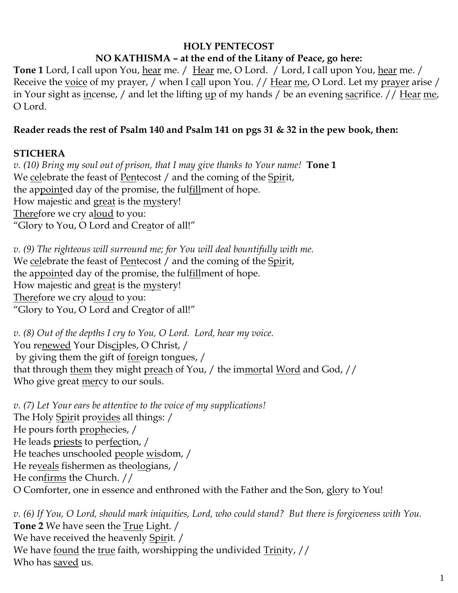#### **HOLY PENTECOST NO KATHISMA – at the end of the Litany of Peace, go here:**

**Tone 1** Lord, I call upon You, hear me. / Hear me, O Lord. / Lord, I call upon You, hear me. / Receive the voice of my prayer, / when I call upon You. // Hear me, O Lord. Let my prayer arise / in Your sight as incense, / and let the lifting up of my hands / be an evening sacrifice. // Hear me, O Lord.

#### **Reader reads the rest of Psalm 140 and Psalm 141 on pgs 31 & 32 in the pew book, then:**

#### **STICHERA**

*v. (10) Bring my soul out of prison, that I may give thanks to Your name!* **Tone 1** We celebrate the feast of Pentecost / and the coming of the Spirit, the appointed day of the promise, the fulfillment of hope. How majestic and great is the mystery! Therefore we cry aloud to you: "Glory to You, O Lord and Creator of all!"

*v. (9) The righteous will surround me; for You will deal bountifully with me.*  We celebrate the feast of Pentecost / and the coming of the Spirit, the appointed day of the promise, the fulfillment of hope. How majestic and great is the mystery! Therefore we cry aloud to you: "Glory to You, O Lord and Creator of all!"

*v. (8) Out of the depths I cry to You, O Lord. Lord, hear my voice.*  You renewed Your Disciples, O Christ, / by giving them the gift of foreign tongues, / that through them they might preach of You, / the immortal Word and God, // Who give great mercy to our souls.

*v. (7) Let Your ears be attentive to the voice of my supplications!* The Holy Spirit provides all things: / He pours forth prophecies, / He leads priests to perfection, / He teaches unschooled people wisdom, / He reveals fishermen as theologians, / He confirms the Church. // O Comforter, one in essence and enthroned with the Father and the Son, glory to You!

*v. (6) If You, O Lord, should mark iniquities, Lord, who could stand? But there is forgiveness with You.*  **Tone 2** We have seen the True Light. / We have received the heavenly Spirit. / We have <u>found</u> the true faith, worshipping the undivided Trinity, // Who has saved us.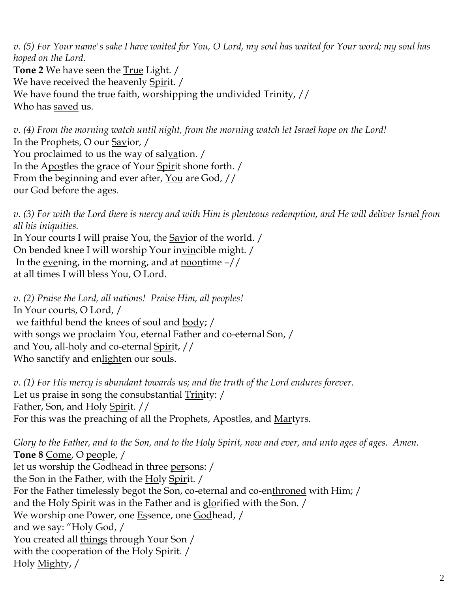*v. (5) For Your name's sake I have waited for You, O Lord, my soul has waited for Your word; my soul has hoped on the Lord.*  **Tone 2** We have seen the True Light. / We have received the heavenly Spirit. / We have <u>found</u> the true faith, worshipping the undivided Trinity, // Who has saved us.

*v. (4) From the morning watch until night, from the morning watch let Israel hope on the Lord!*  In the Prophets, O our Savior, / You proclaimed to us the way of salvation. / In the Apostles the grace of Your Spirit shone forth. / From the beginning and ever after, You are God, // our God before the ages.

*v. (3) For with the Lord there is mercy and with Him is plenteous redemption, and He will deliver Israel from all his iniquities.*

In Your courts I will praise You, the Savior of the world. / On bended knee I will worship Your invincible might. / In the evening, in the morning, and at <u>noon</u>time  $-$ // at all times I will **bless** You, O Lord.

*v. (2) Praise the Lord, all nations! Praise Him, all peoples!* In Your courts, O Lord, / we faithful bend the knees of soul and body; / with songs we proclaim You, eternal Father and co-eternal Son, / and You, all-holy and co-eternal Spirit, // Who sanctify and enlighten our souls.

*v. (1) For His mercy is abundant towards us; and the truth of the Lord endures forever.*  Let us praise in song the consubstantial Trinity: / Father, Son, and Holy Spirit. // For this was the preaching of all the Prophets, Apostles, and Martyrs.

*Glory to the Father, and to the Son, and to the Holy Spirit, now and ever, and unto ages of ages. Amen.* **Tone 8** Come, O people, / let us worship the Godhead in three persons: / the Son in the Father, with the Holy Spirit. / For the Father timelessly begot the Son, co-eternal and co-enthroned with Him; / and the Holy Spirit was in the Father and is glorified with the Son. / We worship one Power, one Essence, one Godhead, / and we say: "Holy God, / You created all things through Your Son / with the cooperation of the Holy Spirit. / Holy Mighty, /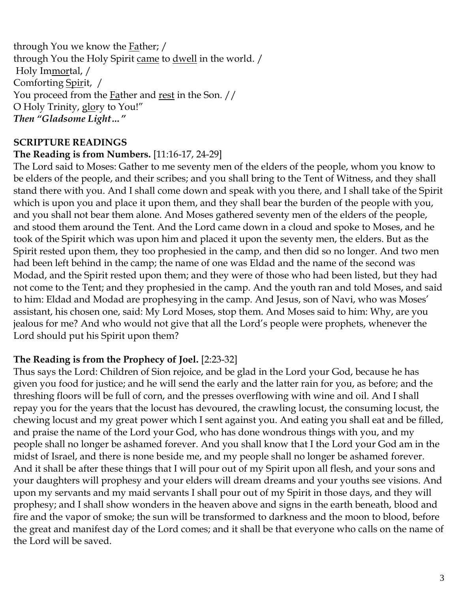through You we know the Father; / through You the Holy Spirit came to dwell in the world. / Holy Immortal, / Comforting Spirit, / You proceed from the **Father and rest in the Son.** // O Holy Trinity, glory to You!" *Then "Gladsome Light…"*

### **SCRIPTURE READINGS**

#### **The Reading is from Numbers.** [11:16-17, 24-29]

The Lord said to Moses: Gather to me seventy men of the elders of the people, whom you know to be elders of the people, and their scribes; and you shall bring to the Tent of Witness, and they shall stand there with you. And I shall come down and speak with you there, and I shall take of the Spirit which is upon you and place it upon them, and they shall bear the burden of the people with you, and you shall not bear them alone. And Moses gathered seventy men of the elders of the people, and stood them around the Tent. And the Lord came down in a cloud and spoke to Moses, and he took of the Spirit which was upon him and placed it upon the seventy men, the elders. But as the Spirit rested upon them, they too prophesied in the camp, and then did so no longer. And two men had been left behind in the camp; the name of one was Eldad and the name of the second was Modad, and the Spirit rested upon them; and they were of those who had been listed, but they had not come to the Tent; and they prophesied in the camp. And the youth ran and told Moses, and said to him: Eldad and Modad are prophesying in the camp. And Jesus, son of Navi, who was Moses' assistant, his chosen one, said: My Lord Moses, stop them. And Moses said to him: Why, are you jealous for me? And who would not give that all the Lord's people were prophets, whenever the Lord should put his Spirit upon them?

#### **The Reading is from the Prophecy of Joel.** [2:23-32]

Thus says the Lord: Children of Sion rejoice, and be glad in the Lord your God, because he has given you food for justice; and he will send the early and the latter rain for you, as before; and the threshing floors will be full of corn, and the presses overflowing with wine and oil. And I shall repay you for the years that the locust has devoured, the crawling locust, the consuming locust, the chewing locust and my great power which I sent against you. And eating you shall eat and be filled, and praise the name of the Lord your God, who has done wondrous things with you, and my people shall no longer be ashamed forever. And you shall know that I the Lord your God am in the midst of Israel, and there is none beside me, and my people shall no longer be ashamed forever. And it shall be after these things that I will pour out of my Spirit upon all flesh, and your sons and your daughters will prophesy and your elders will dream dreams and your youths see visions. And upon my servants and my maid servants I shall pour out of my Spirit in those days, and they will prophesy; and I shall show wonders in the heaven above and signs in the earth beneath, blood and fire and the vapor of smoke; the sun will be transformed to darkness and the moon to blood, before the great and manifest day of the Lord comes; and it shall be that everyone who calls on the name of the Lord will be saved.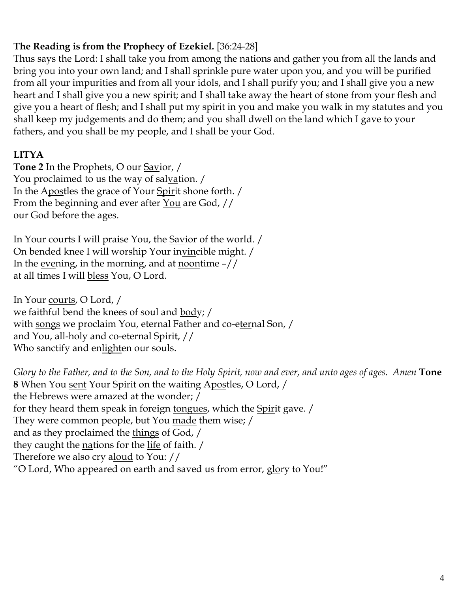# **The Reading is from the Prophecy of Ezekiel.** [36:24-28]

Thus says the Lord: I shall take you from among the nations and gather you from all the lands and bring you into your own land; and I shall sprinkle pure water upon you, and you will be purified from all your impurities and from all your idols, and I shall purify you; and I shall give you a new heart and I shall give you a new spirit; and I shall take away the heart of stone from your flesh and give you a heart of flesh; and I shall put my spirit in you and make you walk in my statutes and you shall keep my judgements and do them; and you shall dwell on the land which I gave to your fathers, and you shall be my people, and I shall be your God.

# **LITYA**

**Tone 2** In the Prophets, O our Savior, / You proclaimed to us the way of salvation. / In the Apostles the grace of Your Spirit shone forth. / From the beginning and ever after You are God, // our God before the ages.

In Your courts I will praise You, the Savior of the world. / On bended knee I will worship Your invincible might. / In the evening, in the morning, and at <u>noontime</u>  $-$ // at all times I will bless You, O Lord.

In Your courts, O Lord, / we faithful bend the knees of soul and body; / with songs we proclaim You, eternal Father and co-eternal Son, / and You, all-holy and co-eternal Spirit, // Who sanctify and enlighten our souls.

*Glory to the Father, and to the Son, and to the Holy Spirit, now and ever, and unto ages of ages. Amen* **Tone 8** When You sent Your Spirit on the waiting Apostles, O Lord, / the Hebrews were amazed at the wonder; / for they heard them speak in foreign tongues, which the Spirit gave. / They were common people, but You <u>made</u> them wise; / and as they proclaimed the things of God, / they caught the nations for the life of faith. / Therefore we also cry aloud to You: // "O Lord, Who appeared on earth and saved us from error, glory to You!"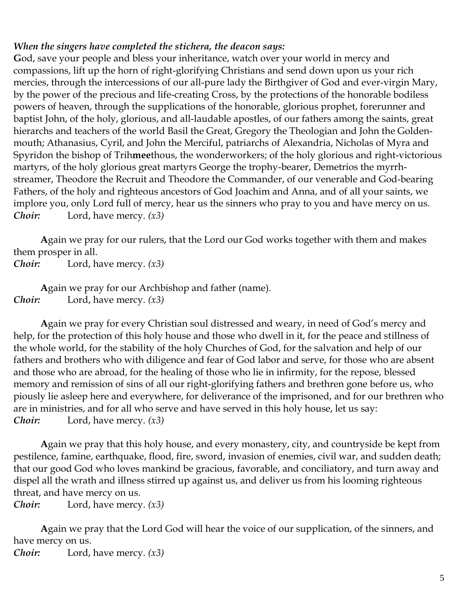#### *When the singers have completed the stichera, the deacon says:*

**G**od, save your people and bless your inheritance, watch over your world in mercy and compassions, lift up the horn of right-glorifying Christians and send down upon us your rich mercies, through the intercessions of our all-pure lady the Birthgiver of God and ever-virgin Mary, by the power of the precious and life-creating Cross, by the protections of the honorable bodiless powers of heaven, through the supplications of the honorable, glorious prophet, forerunner and baptist John, of the holy, glorious, and all-laudable apostles, of our fathers among the saints, great hierarchs and teachers of the world Basil the Great, Gregory the Theologian and John the Goldenmouth; Athanasius, Cyril, and John the Merciful, patriarchs of Alexandria, Nicholas of Myra and Spyridon the bishop of Trih**mee**thous, the wonderworkers; of the holy glorious and right-victorious martyrs, of the holy glorious great martyrs George the trophy-bearer, Demetrios the myrrhstreamer, Theodore the Recruit and Theodore the Commander, of our venerable and God-bearing Fathers, of the holy and righteous ancestors of God Joachim and Anna, and of all your saints, we implore you, only Lord full of mercy, hear us the sinners who pray to you and have mercy on us. *Choir:* Lord, have mercy. *(x3)*

**A**gain we pray for our rulers, that the Lord our God works together with them and makes them prosper in all.

*Choir:* Lord, have mercy. *(x3)*

**A**gain we pray for our Archbishop and father (name). *Choir:* Lord, have mercy. *(x3)*

**A**gain we pray for every Christian soul distressed and weary, in need of God's mercy and help, for the protection of this holy house and those who dwell in it, for the peace and stillness of the whole world, for the stability of the holy Churches of God, for the salvation and help of our fathers and brothers who with diligence and fear of God labor and serve, for those who are absent and those who are abroad, for the healing of those who lie in infirmity, for the repose, blessed memory and remission of sins of all our right-glorifying fathers and brethren gone before us, who piously lie asleep here and everywhere, for deliverance of the imprisoned, and for our brethren who are in ministries, and for all who serve and have served in this holy house, let us say: *Choir:* Lord, have mercy. *(x3)*

**A**gain we pray that this holy house, and every monastery, city, and countryside be kept from pestilence, famine, earthquake, flood, fire, sword, invasion of enemies, civil war, and sudden death; that our good God who loves mankind be gracious, favorable, and conciliatory, and turn away and dispel all the wrath and illness stirred up against us, and deliver us from his looming righteous threat, and have mercy on us.

*Choir:* Lord, have mercy. *(x3)*

**A**gain we pray that the Lord God will hear the voice of our supplication, of the sinners, and have mercy on us. *Choir:* Lord, have mercy. *(x3)*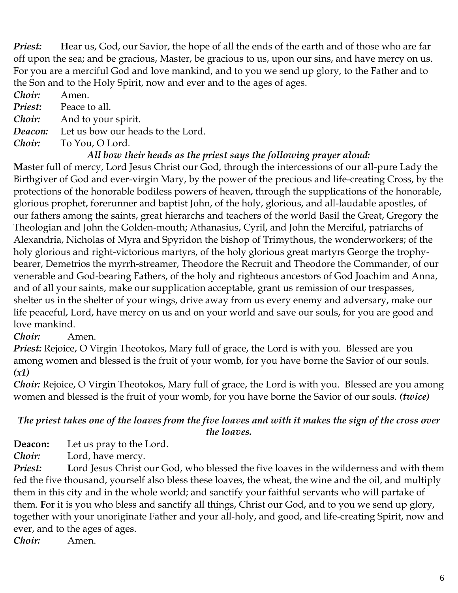*Priest:* **H**ear us, God, our Savior, the hope of all the ends of the earth and of those who are far off upon the sea; and be gracious, Master, be gracious to us, upon our sins, and have mercy on us. For you are a merciful God and love mankind, and to you we send up glory, to the Father and to the Son and to the Holy Spirit, now and ever and to the ages of ages.

*Choir:* Amen.

*Priest:* Peace to all.

*Choir:* And to your spirit.

*Deacon:* Let us bow our heads to the Lord.

*Choir:* To You, O Lord.

### *All bow their heads as the priest says the following prayer aloud:*

**M**aster full of mercy, Lord Jesus Christ our God, through the intercessions of our all-pure Lady the Birthgiver of God and ever-virgin Mary, by the power of the precious and life-creating Cross, by the protections of the honorable bodiless powers of heaven, through the supplications of the honorable, glorious prophet, forerunner and baptist John, of the holy, glorious, and all-laudable apostles, of our fathers among the saints, great hierarchs and teachers of the world Basil the Great, Gregory the Theologian and John the Golden-mouth; Athanasius, Cyril, and John the Merciful, patriarchs of Alexandria, Nicholas of Myra and Spyridon the bishop of Trimythous, the wonderworkers; of the holy glorious and right-victorious martyrs, of the holy glorious great martyrs George the trophybearer, Demetrios the myrrh-streamer, Theodore the Recruit and Theodore the Commander, of our venerable and God-bearing Fathers, of the holy and righteous ancestors of God Joachim and Anna, and of all your saints, make our supplication acceptable, grant us remission of our trespasses, shelter us in the shelter of your wings, drive away from us every enemy and adversary, make our life peaceful, Lord, have mercy on us and on your world and save our souls, for you are good and love mankind.

### *Choir:* Amen.

*Priest:* Rejoice, O Virgin Theotokos, Mary full of grace, the Lord is with you. Blessed are you among women and blessed is the fruit of your womb, for you have borne the Savior of our souls. *(x1)*

*Choir:* Rejoice, O Virgin Theotokos, Mary full of grace, the Lord is with you. Blessed are you among women and blessed is the fruit of your womb, for you have borne the Savior of our souls. *(twice)*

### *The priest takes one of the loaves from the five loaves and with it makes the sign of the cross over the loaves.*

**Deacon:** Let us pray to the Lord.

*Choir:* Lord, have mercy.

**Priest:** Lord Jesus Christ our God, who blessed the five loaves in the wilderness and with them fed the five thousand, yourself also bless these loaves, the wheat, the wine and the oil, and multiply them in this city and in the whole world; and sanctify your faithful servants who will partake of them. **F**or it is you who bless and sanctify all things, Christ our God, and to you we send up glory, together with your unoriginate Father and your all-holy, and good, and life-creating Spirit, now and ever, and to the ages of ages. *Choir:* Amen.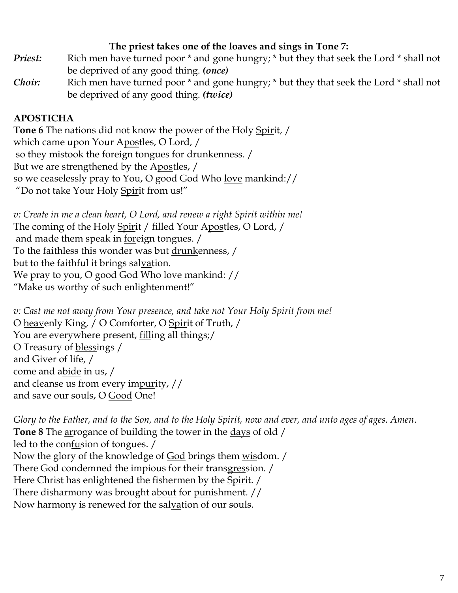#### **The priest takes one of the loaves and sings in Tone 7:**

- *Priest:* Rich men have turned poor \* and gone hungry; \* but they that seek the Lord \* shall not be deprived of any good thing. *(once)*
- *Choir:* Rich men have turned poor \* and gone hungry; \* but they that seek the Lord \* shall not be deprived of any good thing. *(twice)*

# **APOSTICHA**

**Tone 6** The nations did not know the power of the Holy Spirit, / which came upon Your Apostles, O Lord, / so they mistook the foreign tongues for <u>drunk</u>enness. / But we are strengthened by the Apostles, / so we ceaselessly pray to You, O good God Who love mankind:// "Do not take Your Holy Spirit from us!"

*v: Create in me a clean heart, O Lord, and renew a right Spirit within me!* The coming of the Holy Spirit / filled Your Apostles, O Lord, / and made them speak in foreign tongues. / To the faithless this wonder was but drunkenness, / but to the faithful it brings salvation. We pray to you, O good God Who love mankind: // "Make us worthy of such enlightenment!"

*v: Cast me not away from Your presence, and take not Your Holy Spirit from me!* O heavenly King, / O Comforter, O Spirit of Truth, / You are everywhere present, *filling all things;/* O Treasury of <u>blessings</u> / and Giver of life, / come and abide in us, / and cleanse us from every impurity, // and save our souls, O Good One!

*Glory to the Father, and to the Son, and to the Holy Spirit, now and ever, and unto ages of ages. Amen*. **Tone 8** The arrogance of building the tower in the days of old / led to the confusion of tongues. / Now the glory of the knowledge of God brings them wisdom. / There God condemned the impious for their transgression. / Here Christ has enlightened the fishermen by the Spirit. / There disharmony was brought about for punishment. // Now harmony is renewed for the salvation of our souls.